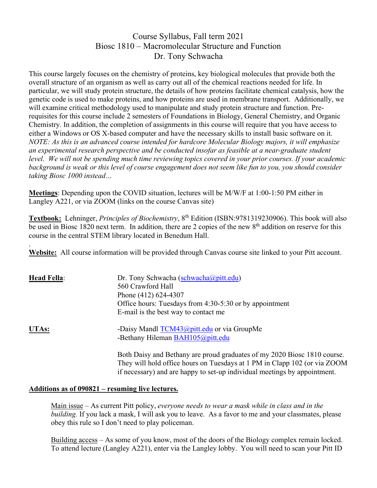# Course Syllabus, Fall term 2021 Biosc 1810 – Macromolecular Structure and Function Dr. Tony Schwacha

This course largely focuses on the chemistry of proteins, key biological molecules that provide both the overall structure of an organism as well as carry out all of the chemical reactions needed for life. In particular, we will study protein structure, the details of how proteins facilitate chemical catalysis, how the genetic code is used to make proteins, and how proteins are used in membrane transport. Additionally, we will examine critical methodology used to manipulate and study protein structure and function. Prerequisites for this course include 2 semesters of Foundations in Biology, General Chemistry, and Organic Chemistry. In addition, the completion of assignments in this course will require that you have access to either a Windows or OS X-based computer and have the necessary skills to install basic software on it. *NOTE: As this is an advanced course intended for hardcore Molecular Biology majors, it will emphasize an experimental research perspective and be conducted insofar as feasible at a near-graduate student level. We will not be spending much time reviewing topics covered in your prior courses. If your academic background is weak or this level of course engagement does not seem like fun to you, you should consider taking Biosc 1000 instead…*

**Meetings**: Depending upon the COVID situation, lectures will be M/W/F at 1:00-1:50 PM either in Langley A221, or via ZOOM (links on the course Canvas site)

**Textbook:** Lehninger, *Principles of Biochemistry*, 8th Edition (ISBN:9781319230906). This book will also be used in Biosc 1820 next term. In addition, there are 2 copies of the new 8<sup>th</sup> addition on reserve for this course in the central STEM library located in Benedum Hall.

. **Website:** All course information will be provided through Canvas course site linked to your Pitt account.

| <b>Head Fella:</b> | Dr. Tony Schwacha (schwacha@pitt.edu)<br>560 Crawford Hall<br>Phone (412) 624-4307<br>Office hours: Tuesdays from 4:30-5:30 or by appointment<br>E-mail is the best way to contact me |
|--------------------|---------------------------------------------------------------------------------------------------------------------------------------------------------------------------------------|
| UTAs:              | -Daisy Mandl TCM43@pitt.edu or via GroupMe<br>-Bethany Hileman BAH105@pitt.edu                                                                                                        |
|                    | Both Daisy and Bethany are proud graduates of my 2020 Biosc 1810 course.<br>They will hold office hours on Tuesdays at 1 PM in Clapp 102 (or via ZOOM                                 |

### **Additions as of 090821 – resuming live lectures.**

Main issue – As current Pitt policy, *everyone needs to wear a mask while in class and in the building.* If you lack a mask, I will ask you to leave. As a favor to me and your classmates, please obey this rule so I don't need to play policeman.

if necessary) and are happy to set-up individual meetings by appointment.

Building access – As some of you know, most of the doors of the Biology complex remain locked. To attend lecture (Langley A221), enter via the Langley lobby. You will need to scan your Pitt ID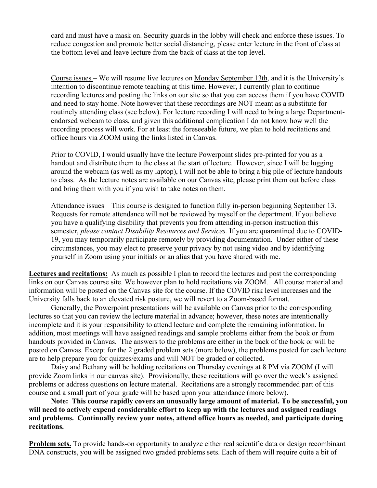card and must have a mask on. Security guards in the lobby will check and enforce these issues. To reduce congestion and promote better social distancing, please enter lecture in the front of class at the bottom level and leave lecture from the back of class at the top level.

Course issues – We will resume live lectures on Monday September 13th, and it is the University's intention to discontinue remote teaching at this time. However, I currently plan to continue recording lectures and posting the links on our site so that you can access them if you have COVID and need to stay home. Note however that these recordings are NOT meant as a substitute for routinely attending class (see below). For lecture recording I will need to bring a large Departmentendorsed webcam to class, and given this additional complication I do not know how well the recording process will work. For at least the foreseeable future, we plan to hold recitations and office hours via ZOOM using the links listed in Canvas.

Prior to COVID, I would usually have the lecture Powerpoint slides pre-printed for you as a handout and distribute them to the class at the start of lecture. However, since I will be lugging around the webcam (as well as my laptop), I will not be able to bring a big pile of lecture handouts to class. As the lecture notes are available on our Canvas site, please print them out before class and bring them with you if you wish to take notes on them.

Attendance issues – This course is designed to function fully in-person beginning September 13. Requests for remote attendance will not be reviewed by myself or the department. If you believe you have a qualifying disability that prevents you from attending in-person instruction this semester, *please contact Disability Resources and Services.* If you are quarantined due to COVID-19, you may temporarily participate remotely by providing documentation. Under either of these circumstances, you may elect to preserve your privacy by not using video and by identifying yourself in Zoom using your initials or an alias that you have shared with me.

**Lectures and recitations:** As much as possible I plan to record the lectures and post the corresponding links on our Canvas course site. We however plan to hold recitations via ZOOM. All course material and information will be posted on the Canvas site for the course. If the COVID risk level increases and the University falls back to an elevated risk posture, we will revert to a Zoom-based format.

Generally, the Powerpoint presentations will be available on Canvas prior to the corresponding lectures so that you can review the lecture material in advance; however, these notes are intentionally incomplete and it is your responsibility to attend lecture and complete the remaining information. In addition, most meetings will have assigned readings and sample problems either from the book or from handouts provided in Canvas. The answers to the problems are either in the back of the book or will be posted on Canvas. Except for the 2 graded problem sets (more below), the problems posted for each lecture are to help prepare you for quizzes/exams and will NOT be graded or collected.

Daisy and Bethany will be holding recitations on Thursday evenings at 8 PM via ZOOM (I will provide Zoom links in our canvas site). Provisionally, these recitations will go over the week's assigned problems or address questions on lecture material. Recitations are a strongly recommended part of this course and a small part of your grade will be based upon your attendance (more below).

**Note: This course rapidly covers an unusually large amount of material. To be successful, you will need to actively expend considerable effort to keep up with the lectures and assigned readings and problems. Continually review your notes, attend office hours as needed, and participate during recitations.** 

**Problem sets.** To provide hands-on opportunity to analyze either real scientific data or design recombinant DNA constructs, you will be assigned two graded problems sets. Each of them will require quite a bit of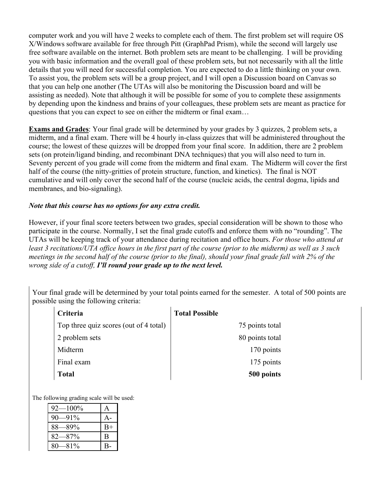computer work and you will have 2 weeks to complete each of them. The first problem set will require OS X/Windows software available for free through Pitt (GraphPad Prism), while the second will largely use free software available on the internet. Both problem sets are meant to be challenging. I will be providing you with basic information and the overall goal of these problem sets, but not necessarily with all the little details that you will need for successful completion. You are expected to do a little thinking on your own. To assist you, the problem sets will be a group project, and I will open a Discussion board on Canvas so that you can help one another (The UTAs will also be monitoring the Discussion board and will be assisting as needed). Note that although it will be possible for some of you to complete these assignments by depending upon the kindness and brains of your colleagues, these problem sets are meant as practice for questions that you can expect to see on either the midterm or final exam…

**Exams and Grades**: Your final grade will be determined by your grades by 3 quizzes, 2 problem sets, a midterm, and a final exam. There will be 4 hourly in-class quizzes that will be administered throughout the course; the lowest of these quizzes will be dropped from your final score. In addition, there are 2 problem sets (on protein/ligand binding, and recombinant DNA techniques) that you will also need to turn in. Seventy percent of you grade will come from the midterm and final exam. The Midterm will cover the first half of the course (the nitty-gritties of protein structure, function, and kinetics). The final is NOT cumulative and will only cover the second half of the course (nucleic acids, the central dogma, lipids and membranes, and bio-signaling).

### *Note that this course has no options for any extra credit.*

However, if your final score teeters between two grades, special consideration will be shown to those who participate in the course. Normally, I set the final grade cutoffs and enforce them with no "rounding". The UTAs will be keeping track of your attendance during recitation and office hours. *For those who attend at least 3 recitations/UTA office hours in the first part of the course (prior to the midterm) as well as 3 such meetings in the second half of the course (prior to the final), should your final grade fall with 2% of the wrong side of a cutoff, I'll round your grade up to the next level.* 

Your final grade will be determined by your total points earned for the semester. A total of 500 points are possible using the following criteria:

| Criteria                               | <b>Total Possible</b> |
|----------------------------------------|-----------------------|
| Top three quiz scores (out of 4 total) | 75 points total       |
| 2 problem sets                         | 80 points total       |
| Midterm                                | 170 points            |
| Final exam                             | 175 points            |
| <b>Total</b>                           | 500 points            |

The following grading scale will be used:

| $92 - 100\%$ |      |
|--------------|------|
| $90 - 91\%$  |      |
| $88 - 89\%$  | $B+$ |
| $82 - 87%$   | B    |
| $80-81\%$    |      |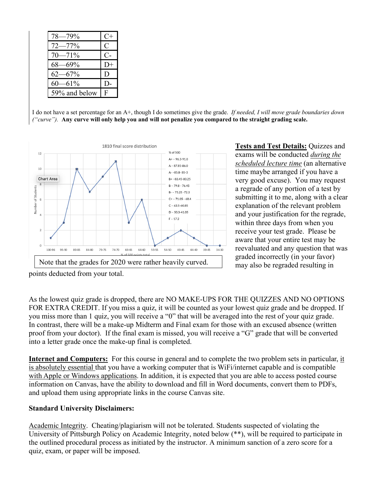| $78 - 79%$    | $C+$         |
|---------------|--------------|
| $72 - 77%$    | $\mathsf{C}$ |
| $70 - 71\%$   | C-           |
| $68 - 69\%$   | D+           |
| $62 - 67%$    | D            |
| 60—61%        |              |
| 59% and below | F            |

I do not have a set percentage for an A+, though I do sometimes give the grade. *If needed, I will move grade boundaries down ("curve").* **Any curve will only help you and will not penalize you compared to the straight grading scale.** 



**Tests and Test Details:** Quizzes and exams will be conducted *during the scheduled lecture time* (an alternative time maybe arranged if you have a very good excuse). You may request a regrade of any portion of a test by submitting it to me, along with a clear explanation of the relevant problem and your justification for the regrade, within three days from when you receive your test grade. Please be aware that your entire test may be reevaluated and any question that was graded incorrectly (in your favor) may also be regraded resulting in

points deducted from your total.

As the lowest quiz grade is dropped, there are NO MAKE-UPS FOR THE QUIZZES AND NO OPTIONS FOR EXTRA CREDIT. If you miss a quiz, it will be counted as your lowest quiz grade and be dropped. If you miss more than 1 quiz, you will receive a "0" that will be averaged into the rest of your quiz grade. In contrast, there will be a make-up Midterm and Final exam for those with an excused absence (written proof from your doctor). If the final exam is missed, you will receive a "G" grade that will be converted into a letter grade once the make-up final is completed.

**Internet and Computers:** For this course in general and to complete the two problem sets in particular, it is absolutely essential that you have a working computer that is WiFi/internet capable and is compatible with Apple or Windows applications. In addition, it is expected that you are able to access posted course information on Canvas, have the ability to download and fill in Word documents, convert them to PDFs, and upload them using appropriate links in the course Canvas site.

### **Standard University Disclaimers:**

Academic Integrity. Cheating/plagiarism will not be tolerated. Students suspected of violating the University of Pittsburgh Policy on Academic Integrity, noted below (\*\*), will be required to participate in the outlined procedural process as initiated by the instructor. A minimum sanction of a zero score for a quiz, exam, or paper will be imposed.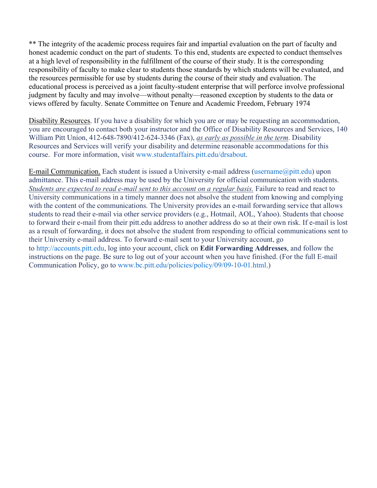\*\* The integrity of the academic process requires fair and impartial evaluation on the part of faculty and honest academic conduct on the part of students. To this end, students are expected to conduct themselves at a high level of responsibility in the fulfillment of the course of their study. It is the corresponding responsibility of faculty to make clear to students those standards by which students will be evaluated, and the resources permissible for use by students during the course of their study and evaluation. The educational process is perceived as a joint faculty-student enterprise that will perforce involve professional judgment by faculty and may involve—without penalty—reasoned exception by students to the data or views offered by faculty. Senate Committee on Tenure and Academic Freedom, February 1974

Disability Resources. If you have a disability for which you are or may be requesting an accommodation, you are encouraged to contact both your instructor and the Office of Disability Resources and Services, 140 William Pitt Union, 412-648-7890/412-624-3346 (Fax), *as early as possible in the term*. Disability Resources and Services will verify your disability and determine reasonable accommodations for this course. For more information, visit [www.studentaffairs.pitt.edu/drsabout.](http://www.studentaffairs.pitt.edu/drsabout)

E-mail Communication. Each student is issued a University e-mail address [\(username@pitt.edu\)](mailto:username@pitt.edu) upon admittance. This e-mail address may be used by the University for official communication with students. *Students are expected to read e-mail sent to this account on a regular basis.* Failure to read and react to University communications in a timely manner does not absolve the student from knowing and complying with the content of the communications. The University provides an e-mail forwarding service that allows students to read their e-mail via other service providers (e.g., Hotmail, AOL, Yahoo). Students that choose to forward their e-mail from their pitt.edu address to another address do so at their own risk. If e-mail is lost as a result of forwarding, it does not absolve the student from responding to official communications sent to their University e-mail address. To forward e-mail sent to your University account, go to [http://accounts.pitt.edu,](http://accounts.pitt.edu/) log into your account, click on **Edit Forwarding Addresses**, and follow the instructions on the page. Be sure to log out of your account when you have finished. (For the full E-mail Communication Policy, go to [www.bc.pitt.edu/policies/policy/09/09-10-01.html.](http://www.bc.pitt.edu/policies/policy/09/09-10-01.html))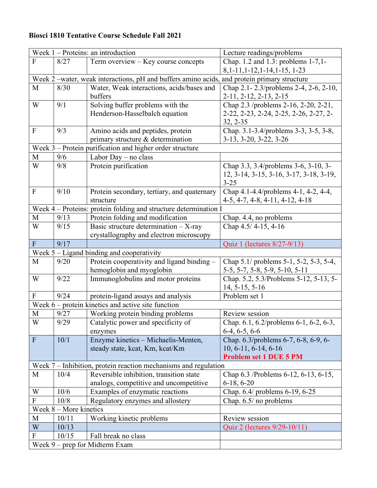## **Biosci 1810 Tentative Course Schedule Fall 2021**

| Week $1$ – Proteins: an introduction |                                |                                                                                             | Lecture readings/problems               |  |  |
|--------------------------------------|--------------------------------|---------------------------------------------------------------------------------------------|-----------------------------------------|--|--|
| $\overline{F}$                       | 8/27                           | Term overview – Key course concepts                                                         | Chap. 1.2 and 1.3: problems 1-7,1-      |  |  |
|                                      |                                |                                                                                             | $8, 1-11, 1-12, 1-14, 1-15, 1-23$       |  |  |
|                                      |                                | Week 2 -water, weak interactions, pH and buffers amino acids, and protein primary structure |                                         |  |  |
| M                                    | 8/30                           | Water, Weak interactions, acids/bases and                                                   | Chap 2.1-2.3/problems 2-4, 2-6, 2-10,   |  |  |
|                                      |                                | buffers                                                                                     | 2-11, 2-12, 2-13, 2-15                  |  |  |
| W                                    | 9/1                            | Solving buffer problems with the                                                            | Chap 2.3 /problems 2-16, 2-20, 2-21,    |  |  |
|                                      |                                | Henderson-Hasselbalch equation                                                              | 2-22, 2-23, 2-24, 2-25, 2-26, 2-27, 2-  |  |  |
|                                      |                                |                                                                                             | $32, 2 - 35$                            |  |  |
| $\mathbf{F}$                         | 9/3                            | Amino acids and peptides, protein                                                           | Chap. 3.1-3.4/problems 3-3, 3-5, 3-8,   |  |  |
|                                      |                                | primary structure & determination                                                           | $3-13, 3-20, 3-22, 3-26$                |  |  |
|                                      |                                | Week 3 - Protein purification and higher order structure                                    |                                         |  |  |
| M                                    | 9/6                            | Labor Day – no class                                                                        |                                         |  |  |
| W                                    | 9/8                            | Protein purification                                                                        | Chap 3.3, 3.4/problems 3-6, 3-10, 3-    |  |  |
|                                      |                                |                                                                                             | 12, 3-14, 3-15, 3-16, 3-17, 3-18, 3-19, |  |  |
|                                      |                                |                                                                                             | $3 - 25$                                |  |  |
| ${\bf F}$                            | 9/10                           | Protein secondary, tertiary, and quaternary                                                 | Chap 4.1-4.4/problems 4-1, 4-2, 4-4,    |  |  |
|                                      |                                | structure                                                                                   | $4-5, 4-7, 4-8, 4-11, 4-12, 4-18$       |  |  |
|                                      |                                | Week 4 – Proteins: protein folding and structure determination I                            |                                         |  |  |
| M                                    | 9/13                           | Protein folding and modification                                                            | Chap. 4.4, no problems                  |  |  |
| W                                    | 9/15                           | Basic structure determination $-$ X-ray                                                     | Chap $4.5/ 4-15, 4-16$                  |  |  |
|                                      |                                | crystallography and electron microscopy                                                     |                                         |  |  |
| $\overline{F}$                       | 9/17                           |                                                                                             | Quiz 1 (lectures 8/27-9/13)             |  |  |
|                                      |                                | Week $5 -$ Ligand binding and cooperativity                                                 |                                         |  |  |
| M                                    | 9/20                           | Protein cooperativity and ligand binding -                                                  | Chap 5.1/ problems 5-1, 5-2, 5-3, 5-4,  |  |  |
|                                      |                                | hemoglobin and myoglobin                                                                    | 5-5, 5-7, 5-8, 5-9, 5-10, 5-11          |  |  |
| W                                    | 9/22                           | Immunoglobulins and motor proteins                                                          | Chap. 5.2, 5.3/Problems 5-12, 5-13, 5-  |  |  |
|                                      |                                |                                                                                             | $14, 5-15, 5-16$                        |  |  |
| $\overline{F}$                       | 9/24                           | protein-ligand assays and analysis                                                          | Problem set 1                           |  |  |
|                                      |                                | Week $6$ – protein kinetics and active site function                                        |                                         |  |  |
| M                                    | 9/27                           | Working protein binding problems                                                            | Review session                          |  |  |
| W                                    | 9/29                           | Catalytic power and specificity of                                                          | Chap. 6.1, 6.2/problems 6-1, 6-2, 6-3,  |  |  |
|                                      |                                | enzymes                                                                                     | $6-4, 6-5, 6-6$                         |  |  |
| $\mathbf{F}$                         | 10/1                           | Enzyme kinetics - Michaelis-Menten,                                                         | Chap. 6.3/problems 6-7, 6-8, 6-9, 6-    |  |  |
|                                      |                                | steady state, kcat, Km, kcat/Km                                                             | $10, 6 - 11, 6 - 14, 6 - 16$            |  |  |
|                                      |                                |                                                                                             | <b>Problem set 1 DUE 5 PM</b>           |  |  |
|                                      |                                | Week 7 – Inhibition, protein reaction mechanisms and regulation                             |                                         |  |  |
| M                                    | 10/4                           | Reversible inhibition, transition state                                                     | Chap 6.3 /Problems 6-12, 6-13, 6-15,    |  |  |
|                                      |                                | analogs, competitive and uncompetitive                                                      | $6-18, 6-20$                            |  |  |
| W                                    | 10/6                           | Examples of enzymatic reactions                                                             | Chap. 6.4/ problems 6-19, 6-25          |  |  |
| F                                    | 10/8                           | Regulatory enzymes and allostery                                                            | Chap. $6.5/$ no problems                |  |  |
|                                      | Week $8 -$ More kinetics       |                                                                                             |                                         |  |  |
| M                                    | 10/11                          | Working kinetic problems                                                                    | Review session                          |  |  |
| W                                    | 10/13                          |                                                                                             | Quiz 2 (lectures 9/29-10/11)            |  |  |
| ${\bf F}$                            | 10/15                          | Fall break no class                                                                         |                                         |  |  |
|                                      |                                |                                                                                             |                                         |  |  |
|                                      | Week 9 - prep for Midterm Exam |                                                                                             |                                         |  |  |